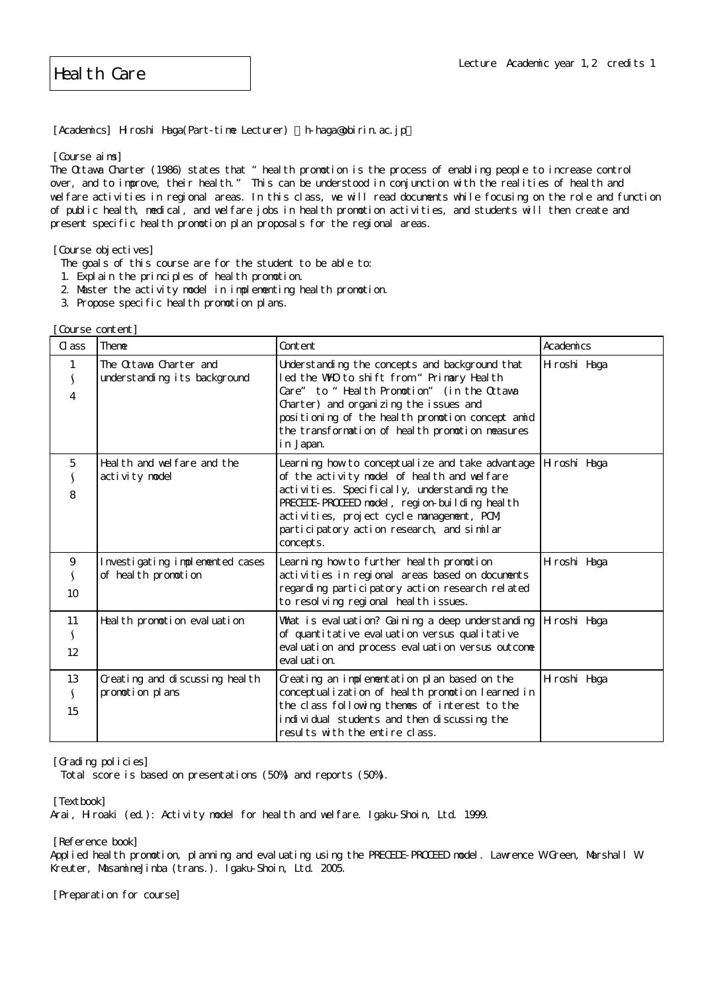[Academics] Hiroshi Haga(Part-time Lecturer) h-haga@obirin.ac.jp

[Course aims]

The Ottawa Charter (1986) states that "health promotion is the process of enabling people to increase control over, and to improve, their health." This can be understood in conjunction with the realities of health and welfare activities in regional areas. In this class, we will read documents while focusing on the role and function of public health, medical, and welfare jobs in health promotion activities, and students will then create and present specific health promotion plan proposals for the regional areas.

[Course objectives]

- The goals of this course are for the student to be able to:
- 1. Explain the principles of health promotion.
- 2. Master the activity model in implementing health promotion.
- 3. Propose specific health promotion plans.

[Course content]

| $\alpha$ ass             | <b>Theme</b>                                            | Content                                                                                                                                                                                                                                                                                                  | Academics    |
|--------------------------|---------------------------------------------------------|----------------------------------------------------------------------------------------------------------------------------------------------------------------------------------------------------------------------------------------------------------------------------------------------------------|--------------|
| 1<br>$\overline{4}$      | The Ottawa Charter and<br>understanding its background  | Understanding the concepts and background that<br>led the WHO to shift from " Primary Health<br>Care" to "Health Promotion" (in the Ottava<br>Charter) and organizing the issues and<br>positioning of the health promotion concept amid<br>the transformation of health promotion measures<br>in Japan. | Hiroshi Haga |
| 5<br>8                   | Heal th and welfare and the<br>activity model           | Learning how to conceptual ize and take advantage<br>of the activity model of health and welfare<br>activities. Specifically, understanding the<br>PRECEDE-PROCEED model, region-building health<br>activities, project cycle management, PCM<br>participatory action research, and similar<br>concepts. | Hiroshi Haga |
| 9<br>10 <sup>°</sup>     | Investigating implemented cases<br>of heal th promotion | Learning how to further heal th promotion<br>activities in regional areas based on documents<br>regarding participatory action research related<br>to resol ving regional heal th issues.                                                                                                                | Hiroshi Haga |
| 11<br>S<br>12            | Heal th promotion evaluation                            | What is eval uation? Gaining a deep understanding<br>of quantitative evaluation versus qualitative<br>eval uation and process eval uation versus outcome<br>eval uati on.                                                                                                                                | H roshi Haga |
| 13<br>$\mathbf{V}$<br>15 | Creating and discussing heal th<br>promotion plans      | Creating an implementation plan based on the<br>conceptual ization of heal th promotion learned in<br>the class following themes of interest to the<br>individual students and then discussing the<br>results with the entire class.                                                                     | Hiroshi Haga |

[Grading policies]

Total score is based on presentations (50%) and reports (50%).

[Textbook]

Arai, Hiroaki (ed.): Activity model for health and welfare. Igaku-Shoin, Ltd. 1999.

[Reference book] Applied health promotion, planning and evaluating using the PRECEDE-PROCEED model. Lawrence W Green, Marshall W Kreuter, MasamineJinba (trans.). Igaku-Shoin, Ltd. 2005.

[Preparation for course]